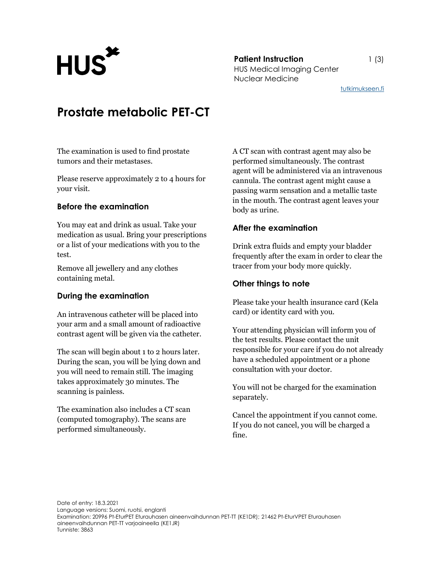**Patient Instruction** 1 (3) Patient Instruction<br>HUS Medical Imaging Center Nuclear Medicine

## tutkimukseen.fi

# Prostate metabolic PET-CT

The examination is used to find prostate tumors and their metastases.

Please reserve approximately 2 to 4 hours for your visit.

# Before the examination

You may eat and drink as usual. Take your medication as usual. Bring your prescriptions or a list of your medications with you to the test.

Remove all jewellery and any clothes containing metal.

# During the examination

An intravenous catheter will be placed into your arm and a small amount of radioactive contrast agent will be given via the catheter.

The scan will begin about 1 to 2 hours later. During the scan, you will be lying down and you will need to remain still. The imaging takes approximately 30 minutes. The scanning is painless.

The examination also includes a CT scan (computed tomography). The scans are performed simultaneously.

A CT scan with contrast agent may also be performed simultaneously. The contrast agent will be administered via an intravenous cannula. The contrast agent might cause a passing warm sensation and a metallic taste in the mouth. The contrast agent leaves your body as urine.

# After the examination

Drink extra fluids and empty your bladder frequently after the exam in order to clear the tracer from your body more quickly.

### Other things to note

Please take your health insurance card (Kela card) or identity card with you.

Your attending physician will inform you of the test results. Please contact the unit responsible for your care if you do not already have a scheduled appointment or a phone consultation with your doctor.

You will not be charged for the examination separately.

Cancel the appointment if you cannot come. If you do not cancel, you will be charged a fine.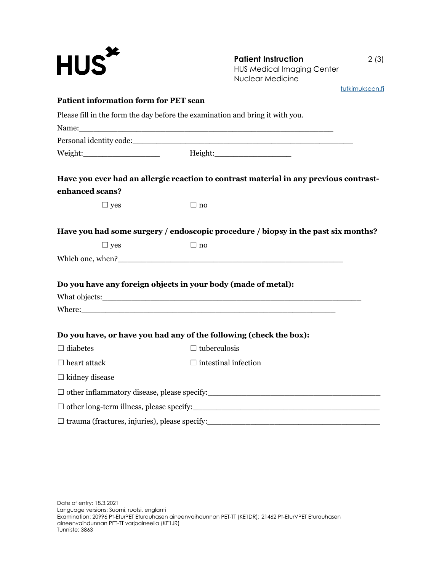| <b>HUS<sup>*</sup></b>                                                        | <b>Patient Instruction</b><br><b>HUS Medical Imaging Center</b><br>Nuclear Medicine   | 2(3)            |
|-------------------------------------------------------------------------------|---------------------------------------------------------------------------------------|-----------------|
|                                                                               |                                                                                       | tutkimukseen.fi |
| <b>Patient information form for PET scan</b>                                  |                                                                                       |                 |
| Please fill in the form the day before the examination and bring it with you. |                                                                                       |                 |
|                                                                               |                                                                                       |                 |
|                                                                               |                                                                                       |                 |
| enhanced scans?                                                               | Have you ever had an allergic reaction to contrast material in any previous contrast- |                 |
| $\Box$ yes                                                                    | $\Box$ no                                                                             |                 |
|                                                                               | Have you had some surgery / endoscopic procedure / biopsy in the past six months?     |                 |
| $\Box$ yes                                                                    | $\Box$ no                                                                             |                 |
|                                                                               |                                                                                       |                 |
| Do you have any foreign objects in your body (made of metal):                 |                                                                                       |                 |
|                                                                               |                                                                                       |                 |
|                                                                               |                                                                                       |                 |
|                                                                               | Do you have, or have you had any of the following (check the box):                    |                 |
| $\Box$ diabetes                                                               | $\Box$ tuberculosis                                                                   |                 |
| $\Box$ heart attack                                                           | $\Box$ intestinal infection                                                           |                 |
| $\Box$ kidney disease                                                         |                                                                                       |                 |
|                                                                               |                                                                                       |                 |
|                                                                               |                                                                                       |                 |
|                                                                               |                                                                                       |                 |